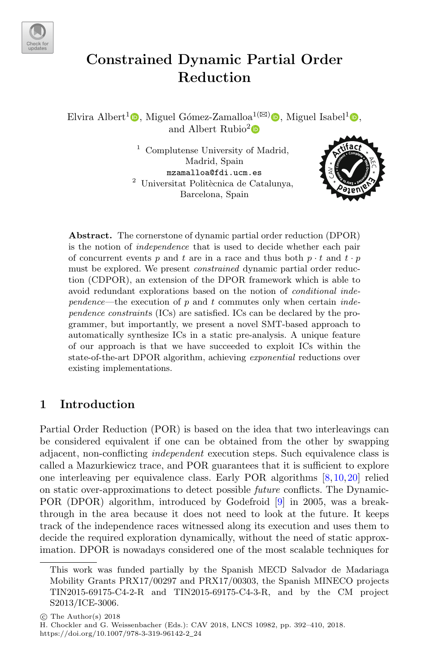

# **Constrained Dynamic Partial Order Reduction**

Elvira Albert<sup>1</sup>  $\bullet$ [,](http://orcid.org/0000-0002-5474-9258) Miguel Gómez-Zamalloa<sup>1( $\boxtimes$ )</sup>  $\bullet$ , Miguel Isabel<sup>1</sup> $\bullet$ , and Albert Rubio<sup>[2](http://orcid.org/0000-0002-0501-9830)</sup> $\blacksquare$ 

> Complutense University of Madrid, Madrid, Spain mzamalloa@fdi.ucm.es  $^2$ Universitat Politècnica de Catalunya, Barcelona, Spain



**Abstract.** The cornerstone of dynamic partial order reduction (DPOR) is the notion of *independence* that is used to decide whether each pair of concurrent events  $p$  and  $t$  are in a race and thus both  $p \cdot t$  and  $t \cdot p$ must be explored. We present *constrained* dynamic partial order reduction (CDPOR), an extension of the DPOR framework which is able to avoid redundant explorations based on the notion of *conditional independence*—the execution of *p* and *t* commutes only when certain *independence constraint*s (ICs) are satisfied. ICs can be declared by the programmer, but importantly, we present a novel SMT-based approach to automatically synthesize ICs in a static pre-analysis. A unique feature of our approach is that we have succeeded to exploit ICs within the state-of-the-art DPOR algorithm, achieving *exponential* reductions over existing implementations.

# **1 Introduction**

Partial Order Reduction (POR) is based on the idea that two interleavings can be considered equivalent if one can be obtained from the other by swapping adjacent, non-conflicting *independent* execution steps. Such equivalence class is called a Mazurkiewicz trace, and POR guarantees that it is sufficient to explore one interleaving per equivalence class. Early POR algorithms [\[8](#page-17-0)[,10](#page-17-1)[,20](#page-18-0)] relied on static over-approximations to detect possible *future* conflicts. The Dynamic-POR (DPOR) algorithm, introduced by Godefroid [\[9\]](#page-17-2) in 2005, was a breakthrough in the area because it does not need to look at the future. It keeps track of the independence races witnessed along its execution and uses them to decide the required exploration dynamically, without the need of static approximation. DPOR is nowadays considered one of the most scalable techniques for

This work was funded partially by the Spanish MECD Salvador de Madariaga Mobility Grants PRX17/00297 and PRX17/00303, the Spanish MINECO projects TIN2015-69175-C4-2-R and TIN2015-69175-C4-3-R, and by the CM project S2013/ICE-3006.

 $\circ$  The Author(s) 2018

H. Chockler and G. Weissenbacher (Eds.): CAV 2018, LNCS 10982, pp. 392–410, 2018. https://doi.org/10.1007/978-3-319-96142-2\_24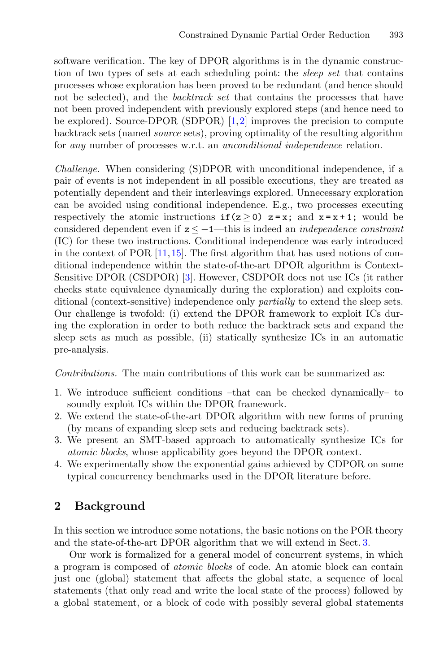software verification. The key of DPOR algorithms is in the dynamic construction of two types of sets at each scheduling point: the *sleep set* that contains processes whose exploration has been proved to be redundant (and hence should not be selected), and the *backtrack set* that contains the processes that have not been proved independent with previously explored steps (and hence need to be explored). Source-DPOR (SDPOR) [\[1,](#page-17-3)[2](#page-17-4)] improves the precision to compute backtrack sets (named *source* sets), proving optimality of the resulting algorithm for *any* number of processes w.r.t. an *unconditional independence* relation.

*Challenge.* When considering (S)DPOR with unconditional independence, if a pair of events is not independent in all possible executions, they are treated as potentially dependent and their interleavings explored. Unnecessary exploration can be avoided using conditional independence. E.g., two processes executing respectively the atomic instructions  $if(z > 0)$   $z = x$ ; and  $x = x + 1$ ; would be considered dependent even if <sup>z</sup> ≤ −1—this is indeed an *independence constraint* (IC) for these two instructions. Conditional independence was early introduced in the context of POR  $[11,15]$  $[11,15]$ . The first algorithm that has used notions of conditional independence within the state-of-the-art DPOR algorithm is Context-Sensitive DPOR (CSDPOR) [\[3](#page-17-7)]. However, CSDPOR does not use ICs (it rather checks state equivalence dynamically during the exploration) and exploits conditional (context-sensitive) independence only *partially* to extend the sleep sets. Our challenge is twofold: (i) extend the DPOR framework to exploit ICs during the exploration in order to both reduce the backtrack sets and expand the sleep sets as much as possible, (ii) statically synthesize ICs in an automatic pre-analysis.

*Contributions.* The main contributions of this work can be summarized as:

- 1. We introduce sufficient conditions –that can be checked dynamically– to soundly exploit ICs within the DPOR framework.
- 2. We extend the state-of-the-art DPOR algorithm with new forms of pruning (by means of expanding sleep sets and reducing backtrack sets).
- 3. We present an SMT-based approach to automatically synthesize ICs for *atomic blocks*, whose applicability goes beyond the DPOR context.
- 4. We experimentally show the exponential gains achieved by CDPOR on some typical concurrency benchmarks used in the DPOR literature before.

### **2 Background**

In this section we introduce some notations, the basic notions on the POR theory and the state-of-the-art DPOR algorithm that we will extend in Sect. [3.](#page-5-0)

Our work is formalized for a general model of concurrent systems, in which a program is composed of *atomic blocks* of code. An atomic block can contain just one (global) statement that affects the global state, a sequence of local statements (that only read and write the local state of the process) followed by a global statement, or a block of code with possibly several global statements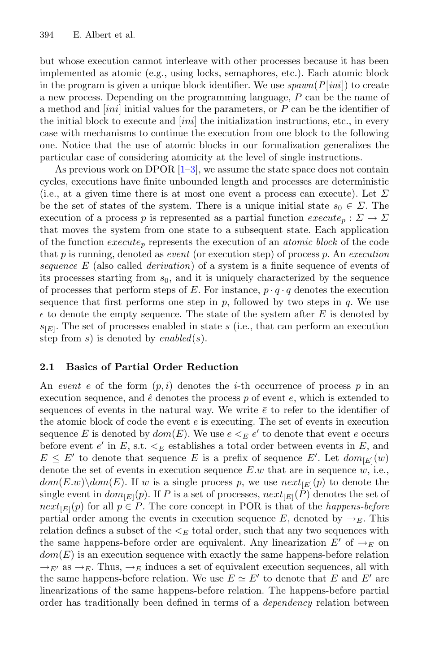but whose execution cannot interleave with other processes because it has been implemented as atomic (e.g., using locks, semaphores, etc.). Each atomic block in the program is given a unique block identifier. We use  $spam(P[ini])$  to create a new process. Depending on the programming language, P can be the name of a method and  $[ini]$  initial values for the parameters, or P can be the identifier of the initial block to execute and  $[ini]$  the initialization instructions, etc., in every case with mechanisms to continue the execution from one block to the following one. Notice that the use of atomic blocks in our formalization generalizes the particular case of considering atomicity at the level of single instructions.

As previous work on DPOR  $[1-3]$  $[1-3]$ , we assume the state space does not contain cycles, executions have finite unbounded length and processes are deterministic (i.e., at a given time there is at most one event a process can execute). Let  $\Sigma$ be the set of states of the system. There is a unique initial state  $s_0 \in \Sigma$ . The execution of a process p is represented as a partial function  $execute_n : \Sigma \mapsto \Sigma$ that moves the system from one state to a subsequent state. Each application of the function  $execute<sub>p</sub>$  represents the execution of an *atomic block* of the code that p is running, denoted as *event* (or execution step) of process p. An *execution sequence* E (also called *derivation*) of a system is a finite sequence of events of its processes starting from  $s_0$ , and it is uniquely characterized by the sequence of processes that perform steps of E. For instance,  $p \cdot q \cdot q$  denotes the execution sequence that first performs one step in  $p$ , followed by two steps in  $q$ . We use  $\epsilon$  to denote the empty sequence. The state of the system after E is denoted by  $s_{[E]}$ . The set of processes enabled in state s (i.e., that can perform an execution step from s) is denoted by *enabled*(*s*).

#### **2.1 Basics of Partial Order Reduction**

An *event*  $e$  of the form  $(p, i)$  denotes the *i*-th occurrence of process  $p$  in an execution sequence, and  $\hat{e}$  denotes the process p of event e, which is extended to sequences of events in the natural way. We write  $\bar{e}$  to refer to the identifier of the atomic block of code the event e is executing. The set of events in execution sequence E is denoted by  $dom(E)$ . We use  $e \leq_E e'$  to denote that event e occurs before event  $e'$  in E, s.t.  $\lt_E$  establishes a total order between events in E, and  $E \leq E'$  to denote that sequence E is a prefix of sequence E'. Let  $dom_{[E]}(w)$ denote the set of events in execution sequence  $E.w$  that are in sequence  $w$ , i.e.,  $dom(E.w)\,dom(E)$ . If w is a single process p, we use  $next_{[E]}(p)$  to denote the single event in  $dom_{[E]}(p)$ . If P is a set of processes,  $next_{[E]}(P)$  denotes the set of  $next_{[E]}(p)$  for all  $p \in P$ . The core concept in POR is that of the *happens-before* partial order among the events in execution sequence E, denoted by  $\rightarrow_E$ . This relation defines a subset of the  $\leq_E$  total order, such that any two sequences with the same happens-before order are equivalent. Any linearization  $E'$  of  $\rightarrow_E$  on  $dom(E)$  is an execution sequence with exactly the same happens-before relation  $\rightarrow_{E'}$  as  $\rightarrow_E$ . Thus,  $\rightarrow_E$  induces a set of equivalent execution sequences, all with the same happens-before relation. We use  $E \simeq E'$  to denote that E and E' are linearizations of the same happens-before relation. The happens-before partial order has traditionally been defined in terms of a *dependency* relation between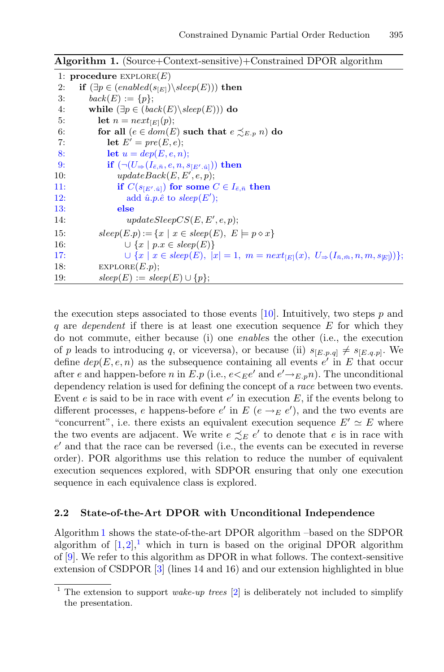#### **Algorithm 1.** (Source+Context-sensitive)+Constrained DPOR algorithm

```
1: procedure EXPLORE(E)2: if (\exists p \in (enabled(s_{[E]}) \setminus sleep(E))) then<br>3: back(E) := \{p\}.3: \operatorname{back}(E) := \{p\};<br>4: while \exists p \in (\operatorname{ba})4: while (\exists p \in (back(E) \setminus sleep(E))) do<br>5: let n = next_{E^1}(p):
              let n = next_{[E]}(p);6: for all (e \in dom(E) such that e \precsim_{E,p} n) do
 7: let E' = pre(E, e);8: let u = dep(E, e, n);9: if (\neg(U \Rightarrow (I_{\bar{e}, \bar{n}}, e, n, s_{[E', \hat{u}]})) then
10: updateBack(E, E', e, p);11: if C(s_{[E',\hat{u}]}) for some C \in I_{\bar{e},\bar{n}} then
12: add \hat{u}.p.\hat{e} to sleep(E');13: else
14: updateSleepCS(E, E', e, p);15: sleep(E.p): = \{x \mid x \in sleep(E), E \models p \diamond x\}<br>16: \cup \{x \mid n.x \in sleep(E)\}16: ∪ {x | p.x ∈ sleep(E)}<br>17: ∪ {x | x ∈ sleep(E), |{
17: \cup \{x \mid x \in \text{sleep}(E), |x| = 1, m = \text{next}_{[E]}(x), U \Rightarrow (I_{\bar{n}, \bar{m}}, n, m, s_{[E]})\};18: EXPLORE(E.p);19: sleep(E) := sleep(E) \cup \{p\};
```
<span id="page-3-0"></span>the execution steps associated to those events  $[10]$ . Intuitively, two steps p and q are *dependent* if there is at least one execution sequence E for which they do not commute, either because (i) one *enable*s the other (i.e., the execution of p leads to introducing q, or viceversa), or because (ii)  $s_{[E,p,q]} \neq s_{[E,q,p]}$ . We define  $dep(E, e, n)$  as the subsequence containing all events  $e'$  in E that occur after e and happen-before n in E.p (i.e.,  $e \leq_E e'$  and  $e' \to_{E,p} n$ ). The unconditional dependency relation is used for defining the concept of a *race* between two events. Event  $e$  is said to be in race with event  $e'$  in execution  $E$ , if the events belong to different processes, e happens-before  $e'$  in  $E$  ( $e \rightarrow_E e'$ ), and the two events are "concurrent", i.e. there exists an equivalent execution sequence  $E' \simeq E$  where the two events are adjacent. We write  $e \precsim_E e'$  to denote that e is in race with  $e'$  and that the race can be reversed (i.e., the events can be executed in reverse order). POR algorithms use this relation to reduce the number of equivalent execution sequences explored, with SDPOR ensuring that only one execution sequence in each equivalence class is explored.

#### **2.2 State-of-the-Art DPOR with Unconditional Independence**

Algorithm [1](#page-3-0) shows the state-of-the-art DPOR algorithm –based on the SDPOR algorithm of  $[1,2],$  $[1,2],$  $[1,2],$ <sup>[1](#page-3-1)</sup> which in turn is based on the original DPOR algorithm of [\[9\]](#page-17-2). We refer to this algorithm as DPOR in what follows. The context-sensitive extension of CSDPOR [\[3](#page-17-7)] (lines 14 and 16) and our extension highlighted in blue

<span id="page-3-1"></span><sup>1</sup> The extension to support *wake-up trees* [\[2\]](#page-17-4) is deliberately not included to simplify the presentation.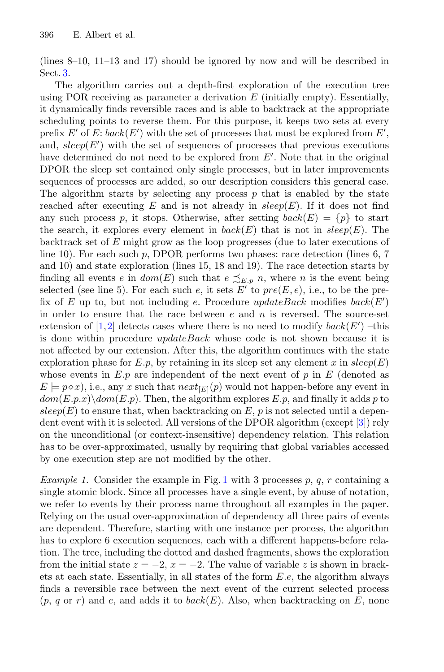(lines 8–10, 11–13 and 17) should be ignored by now and will be described in Sect. [3.](#page-5-0)

The algorithm carries out a depth-first exploration of the execution tree using POR receiving as parameter a derivation  $E$  (initially empty). Essentially, it dynamically finds reversible races and is able to backtrack at the appropriate scheduling points to reverse them. For this purpose, it keeps two sets at every prefix E' of E:  $back(E')$  with the set of processes that must be explored from E', and,  $sleep(E')$  with the set of sequences of processes that previous executions have determined do not need to be explored from  $E'$ . Note that in the original DPOR the sleep set contained only single processes, but in later improvements sequences of processes are added, so our description considers this general case. The algorithm starts by selecting any process  $p$  that is enabled by the state reached after executing E and is not already in  $sleep(E)$ . If it does not find any such process p, it stops. Otherwise, after setting  $back(E) = \{p\}$  to start the search, it explores every element in  $back(E)$  that is not in  $sleep(E)$ . The backtrack set of E might grow as the loop progresses (due to later executions of line 10). For each such  $p$ , DPOR performs two phases: race detection (lines 6, 7) and 10) and state exploration (lines 15, 18 and 19). The race detection starts by finding all events e in  $dom(E)$  such that  $e \precsim_{E,p} n$ , where n is the event being selected (see line 5). For each such e, it sets  $E'$  to  $pre(E, e)$ , i.e., to be the prefix of E up to, but not including e. Procedure update Back modifies  $back(E')$ in order to ensure that the race between  $e$  and  $n$  is reversed. The source-set extension of [\[1,](#page-17-3)[2](#page-17-4)] detects cases where there is no need to modify  $back(E')$  -this is done within procedure *updateBack* whose code is not shown because it is not affected by our extension. After this, the algorithm continues with the state exploration phase for  $E.p$ , by retaining in its sleep set any element x in  $sleep(E)$ whose events in E.p are independent of the next event of p in E (denoted as  $E \models p \diamond x$ , i.e., any x such that  $next_{[E]}(p)$  would not happen-before any event in  $dom(E.p.x)\,dom(E.p)$ . Then, the algorithm explores E.p, and finally it adds p to sleep(E) to ensure that, when backtracking on E, p is not selected until a dependent event with it is selected. All versions of the DPOR algorithm (except [\[3](#page-17-7)]) rely on the unconditional (or context-insensitive) dependency relation. This relation has to be over-approximated, usually by requiring that global variables accessed by one execution step are not modified by the other.

*Example [1](#page-5-1).* Consider the example in Fig. 1 with 3 processes  $p, q, r$  containing a single atomic block. Since all processes have a single event, by abuse of notation, we refer to events by their process name throughout all examples in the paper. Relying on the usual over-approximation of dependency all three pairs of events are dependent. Therefore, starting with one instance per process, the algorithm has to explore 6 execution sequences, each with a different happens-before relation. The tree, including the dotted and dashed fragments, shows the exploration from the initial state  $z = -2$ ,  $x = -2$ . The value of variable z is shown in brackets at each state. Essentially, in all states of the form E.e, the algorithm always finds a reversible race between the next event of the current selected process  $(p, q \text{ or } r)$  and e, and adds it to  $back(E)$ . Also, when backtracking on E, none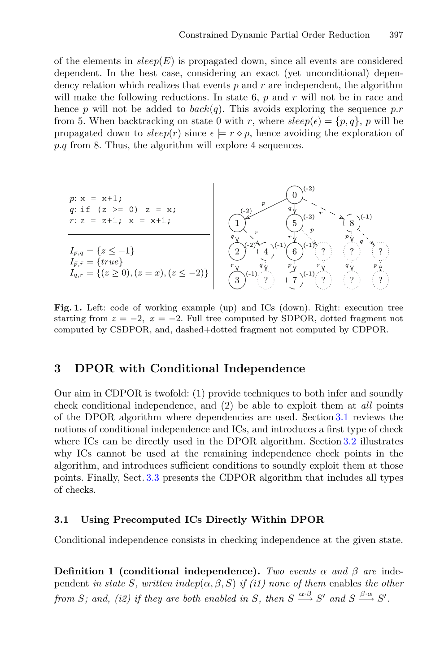of the elements in  $sleep(E)$  is propagated down, since all events are considered dependent. In the best case, considering an exact (yet unconditional) dependency relation which realizes that events  $p$  and  $r$  are independent, the algorithm will make the following reductions. In state 6,  $p$  and  $r$  will not be in race and hence p will not be added to  $back(q)$ . This avoids exploring the sequence p.r from 5. When backtracking on state 0 with r, where  $sleep(\epsilon) = \{p, q\}, p$  will be propagated down to  $sleep(r)$  since  $\epsilon \models r \diamond p$ , hence avoiding the exploration of p.q from 8. Thus, the algorithm will explore 4 sequences.



<span id="page-5-1"></span>**Fig. 1.** Left: code of working example (up) and ICs (down). Right: execution tree starting from  $z = -2$ ,  $x = -2$ . Full tree computed by SDPOR, dotted fragment not computed by CSDPOR, and, dashed+dotted fragment not computed by CDPOR.

# <span id="page-5-0"></span>**3 DPOR with Conditional Independence**

Our aim in CDPOR is twofold: (1) provide techniques to both infer and soundly check conditional independence, and (2) be able to exploit them at *all* points of the DPOR algorithm where dependencies are used. Section [3.1](#page-5-2) reviews the notions of conditional independence and ICs, and introduces a first type of check where ICs can be directly used in the DPOR algorithm. Section [3.2](#page-7-0) illustrates why ICs cannot be used at the remaining independence check points in the algorithm, and introduces sufficient conditions to soundly exploit them at those points. Finally, Sect. [3.3](#page-9-0) presents the CDPOR algorithm that includes all types of checks.

#### <span id="page-5-2"></span>**3.1 Using Precomputed ICs Directly Within DPOR**

<span id="page-5-3"></span>Conditional independence consists in checking independence at the given state.

**Definition 1 (conditional independence).** *Two events*  $\alpha$  *and*  $\beta$  *are* independent *in state* S, written indep( $\alpha$ ,  $\beta$ , S) *if (i1) none of them* enables *the other from S*; and, (i2) if they are both enabled in *S*, then  $S \xrightarrow{\alpha \beta} S'$  and  $S \xrightarrow{\beta \cdot \alpha} S'$ .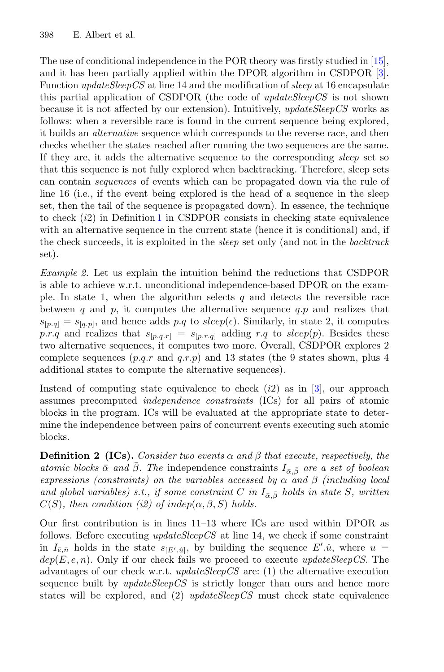The use of conditional independence in the POR theory was firstly studied in [\[15\]](#page-17-6), and it has been partially applied within the DPOR algorithm in CSDPOR [\[3\]](#page-17-7). Function *updateSleepCS* at line 14 and the modification of *sleep* at 16 encapsulate this partial application of CSDPOR (the code of *updateSleepCS* is not shown because it is not affected by our extension). Intuitively, *updateSleepCS* works as follows: when a reversible race is found in the current sequence being explored, it builds an *alternative* sequence which corresponds to the reverse race, and then checks whether the states reached after running the two sequences are the same. If they are, it adds the alternative sequence to the corresponding *sleep* set so that this sequence is not fully explored when backtracking. Therefore, sleep sets can contain *sequences* of events which can be propagated down via the rule of line 16 (i.e., if the event being explored is the head of a sequence in the sleep set, then the tail of the sequence is propagated down). In essence, the technique to check  $(i2)$  in Definition [1](#page-5-3) in CSDPOR consists in checking state equivalence with an alternative sequence in the current state (hence it is conditional) and, if the check succeeds, it is exploited in the *sleep* set only (and not in the *backtrack* set).

<span id="page-6-0"></span>*Example 2.* Let us explain the intuition behind the reductions that CSDPOR is able to achieve w.r.t. unconditional independence-based DPOR on the example. In state 1, when the algorithm selects q and detects the reversible race between q and  $p$ , it computes the alternative sequence  $q$ .  $p$  and realizes that  $s_{[p,q]} = s_{[q,p]}$ , and hence adds p.q to sleep( $\epsilon$ ). Similarly, in state 2, it computes p.r.q and realizes that  $s_{[p,q,r]} = s_{[p,r,q]}$  adding r.q to sleep(p). Besides these two alternative sequences, it computes two more. Overall, CSDPOR explores 2 complete sequences  $(p,q,r \text{ and } q.r.p)$  and 13 states (the 9 states shown, plus 4 additional states to compute the alternative sequences).

Instead of computing state equivalence to check  $(i2)$  as in [\[3](#page-17-7)], our approach assumes precomputed *independence constraints* (ICs) for all pairs of atomic blocks in the program. ICs will be evaluated at the appropriate state to determine the independence between pairs of concurrent events executing such atomic blocks.

**Definition 2 (ICs).** *Consider two events* α *and* β *that execute, respectively, the atomic blocks*  $\bar{\alpha}$  *and*  $\bar{\beta}$ *. The* independence constraints  $I_{\bar{\alpha}}$   $\bar{\beta}$  *are a set of boolean expressions (constraints) on the variables accessed by* α *and* β *(including local and global variables) s.t., if some constraint* C *in*  $I_{\bar{\alpha},\bar{\beta}}$  *holds in state* S, written  $C(S)$ , then condition (i2) of indep( $\alpha, \beta, S$ ) holds.

Our first contribution is in lines 11–13 where ICs are used within DPOR as follows. Before executing *updateSleepCS* at line 14, we check if some constraint in  $I_{\bar{e},\bar{n}}$  holds in the state  $s_{[E',\hat{u}]}$ , by building the sequence  $E'.\hat{u}$ , where  $u =$ dep(E, e, n). Only if our check fails we proceed to execute *updateSleepCS*. The advantages of our check w.r.t. *updateSleepCS* are: (1) the alternative execution sequence built by *updateSleepCS* is strictly longer than ours and hence more states will be explored, and (2) *updateSleepCS* must check state equivalence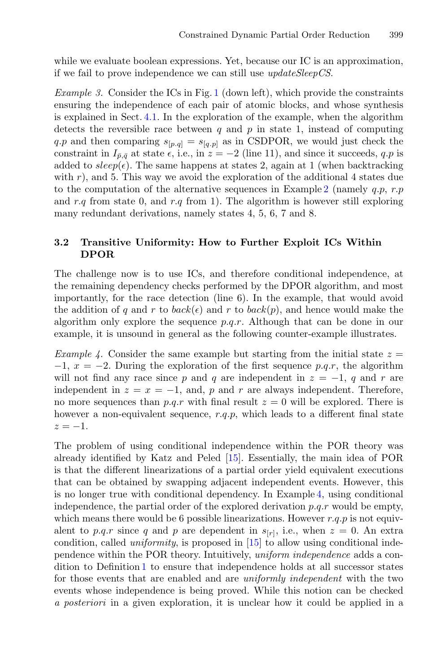while we evaluate boolean expressions. Yet, because our IC is an approximation, if we fail to prove independence we can still use *updateSleepCS*.

*Example 3.* Consider the ICs in Fig. [1](#page-5-1) (down left), which provide the constraints ensuring the independence of each pair of atomic blocks, and whose synthesis is explained in Sect. [4.1.](#page-10-0) In the exploration of the example, when the algorithm detects the reversible race between  $q$  and  $p$  in state 1, instead of computing q.p and then comparing  $s_{[p,q]} = s_{[q,p]}$  as in CSDPOR, we would just check the constraint in  $I_{\bar{p},\bar{q}}$  at state  $\epsilon$ , i.e., in  $z = -2$  (line 11), and since it succeeds, q.p is added to  $sleep(\epsilon)$ . The same happens at states 2, again at 1 (when backtracking with  $r$ ), and 5. This way we avoid the exploration of the additional 4 states due to the computation of the alternative sequences in Example [2](#page-6-0) (namely  $q.p, r.p$ and r.q from state 0, and r.q from 1). The algorithm is however still exploring many redundant derivations, namely states 4, 5, 6, 7 and 8.

# <span id="page-7-0"></span>**3.2 Transitive Uniformity: How to Further Exploit ICs Within DPOR**

The challenge now is to use ICs, and therefore conditional independence, at the remaining dependency checks performed by the DPOR algorithm, and most importantly, for the race detection (line 6). In the example, that would avoid the addition of q and r to back( $\epsilon$ ) and r to back(p), and hence would make the algorithm only explore the sequence  $p.q.r.$  Although that can be done in our example, it is unsound in general as the following counter-example illustrates.

<span id="page-7-1"></span>*Example 4.* Consider the same example but starting from the initial state  $z =$  $-1, x = -2$ . During the exploration of the first sequence p.q.r, the algorithm will not find any race since p and q are independent in  $z = -1$ , q and r are independent in  $z = x = -1$ , and, p and r are always independent. Therefore, no more sequences than p.q.r with final result  $z = 0$  will be explored. There is however a non-equivalent sequence,  $r.q.p$ , which leads to a different final state  $z = -1$ .

The problem of using conditional independence within the POR theory was already identified by Katz and Peled [\[15\]](#page-17-6). Essentially, the main idea of POR is that the different linearizations of a partial order yield equivalent executions that can be obtained by swapping adjacent independent events. However, this is no longer true with conditional dependency. In Example [4,](#page-7-1) using conditional independence, the partial order of the explored derivation  $p.q.r$  would be empty, which means there would be 6 possible linearizations. However  $r.q.p$  is not equivalent to p.q.r since q and p are dependent in  $s_{[r]}$ , i.e., when  $z = 0$ . An extra condition, called *uniformity*, is proposed in [\[15\]](#page-17-6) to allow using conditional independence within the POR theory. Intuitively, *uniform independence* adds a condition to Definition [1](#page-5-3) to ensure that independence holds at all successor states for those events that are enabled and are *uniformly independent* with the two events whose independence is being proved. While this notion can be checked *a posteriori* in a given exploration, it is unclear how it could be applied in a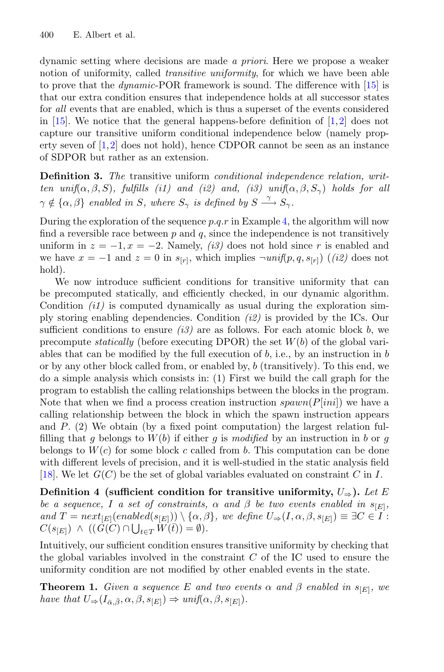dynamic setting where decisions are made *a priori*. Here we propose a weaker notion of uniformity, called *transitive uniformity*, for which we have been able to prove that the *dynamic*-POR framework is sound. The difference with [\[15\]](#page-17-6) is that our extra condition ensures that independence holds at all successor states for *all* events that are enabled, which is thus a superset of the events considered in [\[15](#page-17-6)]. We notice that the general happens-before definition of  $[1,2]$  $[1,2]$  $[1,2]$  does not capture our transitive uniform conditional independence below (namely property seven of  $[1,2]$  $[1,2]$  $[1,2]$  does not hold), hence CDPOR cannot be seen as an instance of SDPOR but rather as an extension.

**Definition 3.** *The* transitive uniform *conditional independence relation, written unif*( $\alpha, \beta, S$ )*, fulfills (i1) and (i2) and, (i3) unif*( $\alpha, \beta, S_\gamma$ ) *holds for all*  $\gamma \notin {\alpha, \beta}$  *enabled in* S, where  $S_{\gamma}$  *is defined by*  $S \xrightarrow{\gamma} S_{\gamma}$ .

During the exploration of the sequence  $p.q.r$  in Example [4,](#page-7-1) the algorithm will now find a reversible race between  $p$  and  $q$ , since the independence is not transitively uniform in  $z = -1, x = -2$ . Namely, *(i3)* does not hold since r is enabled and we have  $x = -1$  and  $z = 0$  in  $s_{[r]}$ , which implies  $\neg \textit{unif}(p, q, s_{[r]})$  ((*i2*) does not hold).

We now introduce sufficient conditions for transitive uniformity that can be precomputed statically, and efficiently checked, in our dynamic algorithm. Condition *(i1)* is computed dynamically as usual during the exploration simply storing enabling dependencies. Condition *(i2)* is provided by the ICs. Our sufficient conditions to ensure  $(i3)$  are as follows. For each atomic block b, we precompute *statically* (before executing DPOR) the set  $W(b)$  of the global variables that can be modified by the full execution of  $b$ , i.e., by an instruction in  $b$ or by any other block called from, or enabled by,  $b$  (transitively). To this end, we do a simple analysis which consists in: (1) First we build the call graph for the program to establish the calling relationships between the blocks in the program. Note that when we find a process creation instruction  $spam(P|ini)$  we have a calling relationship between the block in which the spawn instruction appears and  $P$ . (2) We obtain (by a fixed point computation) the largest relation fulfilling that g belongs to  $W(b)$  if either g is *modified* by an instruction in b or g belongs to  $W(c)$  for some block c called from b. This computation can be done with different levels of precision, and it is well-studied in the static analysis field [\[18](#page-17-8)]. We let  $G(C)$  be the set of global variables evaluated on constraint C in I.

**Definition 4 (sufficient condition for transitive uniformity,**  $U \rightarrow$ **).** Let E *be a sequence,* I *a set of constraints,*  $\alpha$  *and*  $\beta$  *be two events enabled in*  $s_{[E]}$ , *and*  $T = next_{[E]}(enable d(s_{[E]})) \setminus \{\alpha, \beta\}, we define  $U_{\Rightarrow}(I, \alpha, \beta, s_{[E]}) \equiv \exists C \in I$ :$  $C(s_{[E]}) \wedge ((\dot{G}(C) \cap \bigcup_{t \in T} \dot{W}(t)) = \emptyset).$ 

Intuitively, our sufficient condition ensures transitive uniformity by checking that the global variables involved in the constraint  $C$  of the IC used to ensure the uniformity condition are not modified by other enabled events in the state.

**Theorem 1.** *Given a sequence* E *and two events*  $\alpha$  *and*  $\beta$  *enabled in*  $s_{[E]}$ *, we have that*  $U \rightarrow (I_{\bar{\alpha}, \bar{\beta}}, \alpha, \beta, s_{[E]}) \Rightarrow \text{unif}(\alpha, \beta, s_{[E]})$ .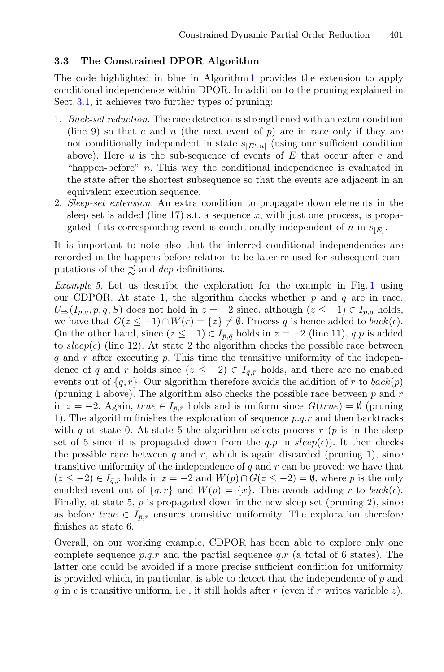#### <span id="page-9-0"></span>**3.3 The Constrained DPOR Algorithm**

The code highlighted in blue in Algorithm [1](#page-3-0) provides the extension to apply conditional independence within DPOR. In addition to the pruning explained in Sect. [3.1,](#page-5-2) it achieves two further types of pruning:

- 1. *Back-set reduction.* The race detection is strengthened with an extra condition (line 9) so that e and n (the next event of p) are in race only if they are not conditionally independent in state  $s_{[E',u]}$  (using our sufficient condition above). Here u is the sub-sequence of events of  $E$  that occur after e and "happen-before" n. This way the conditional independence is evaluated in the state after the shortest subsequence so that the events are adjacent in an equivalent execution sequence.
- 2. *Sleep-set extension.* An extra condition to propagate down elements in the sleep set is added (line  $17$ ) s.t. a sequence x, with just one process, is propagated if its corresponding event is conditionally independent of n in  $s_{[E]}$ .

It is important to note also that the inferred conditional independencies are recorded in the happens-before relation to be later re-used for subsequent computations of the  $\precsim$  and dep definitions.

*Example 5.* Let us describe the exploration for the example in Fig. [1](#page-5-1) using our CDPOR. At state 1, the algorithm checks whether  $p$  and  $q$  are in race.  $U_{\Rightarrow}(I_{\bar{p},\bar{q}}, p, q, S)$  does not hold in  $z = -2$  since, although  $(z \leq -1) \in I_{\bar{p},\bar{q}}$  holds, we have that  $G(z \leq -1) \cap W(r) = \{z\} \neq \emptyset$ . Process q is hence added to  $back(\epsilon)$ . On the other hand, since  $(z \leq -1) \in I_{\bar{p},\bar{q}}$  holds in  $z = -2$  (line 11), q.p is added to sleep( $\epsilon$ ) (line 12). At state 2 the algorithm checks the possible race between q and r after executing  $p$ . This time the transitive uniformity of the independence of q and r holds since  $(z \leq -2) \in I_{\bar{q},\bar{r}}$  holds, and there are no enabled events out of  $\{q, r\}$ . Our algorithm therefore avoids the addition of r to back(p) (pruning 1 above). The algorithm also checks the possible race between  $p$  and  $r$ in  $z = -2$ . Again, true  $\in I_{\bar{p}, \bar{r}}$  holds and is uniform since  $G(true) = \emptyset$  (pruning 1). The algorithm finishes the exploration of sequence  $p.q.r$  and then backtracks with q at state 0. At state 5 the algorithm selects process  $r$  ( $p$  is in the sleep set of 5 since it is propagated down from the q.p in  $sleep(\epsilon))$ . It then checks the possible race between q and r, which is again discarded (pruning 1), since transitive uniformity of the independence of  $q$  and  $r$  can be proved: we have that  $(z \leq -2) \in I_{\bar{q},\bar{r}}$  holds in  $z = -2$  and  $W(p) \cap G(z \leq -2) = \emptyset$ , where p is the only enabled event out of  $\{q, r\}$  and  $W(p) = \{x\}$ . This avoids adding r to  $back(\epsilon)$ . Finally, at state 5,  $p$  is propagated down in the new sleep set (pruning 2), since as before  $true \in I_{\bar{p}, \bar{r}}$  ensures transitive uniformity. The exploration therefore finishes at state 6.

Overall, on our working example, CDPOR has been able to explore only one complete sequence p.q.r and the partial sequence q.r (a total of 6 states). The latter one could be avoided if a more precise sufficient condition for uniformity is provided which, in particular, is able to detect that the independence of  $p$  and q in  $\epsilon$  is transitive uniform, i.e., it still holds after r (even if r writes variable z).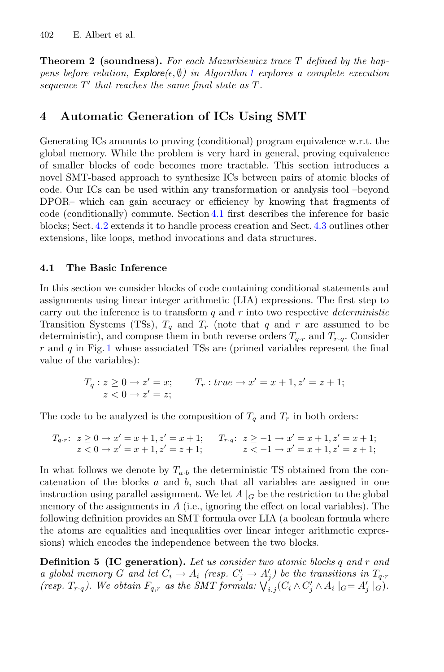**Theorem 2 (soundness).** *For each Mazurkiewicz trace* T *defined by the happens before relation,*  $\mathsf{Explore}(\epsilon, \emptyset)$  *in Algorithm [1](#page-3-0) explores a complete execution sequence*  $T'$  that reaches the same final state as  $T$ .

# **4 Automatic Generation of ICs Using SMT**

Generating ICs amounts to proving (conditional) program equivalence w.r.t. the global memory. While the problem is very hard in general, proving equivalence of smaller blocks of code becomes more tractable. This section introduces a novel SMT-based approach to synthesize ICs between pairs of atomic blocks of code. Our ICs can be used within any transformation or analysis tool –beyond DPOR– which can gain accuracy or efficiency by knowing that fragments of code (conditionally) commute. Section [4.1](#page-10-0) first describes the inference for basic blocks; Sect. [4.2](#page-11-0) extends it to handle process creation and Sect. [4.3](#page-13-0) outlines other extensions, like loops, method invocations and data structures.

### <span id="page-10-0"></span>**4.1 The Basic Inference**

In this section we consider blocks of code containing conditional statements and assignments using linear integer arithmetic (LIA) expressions. The first step to carry out the inference is to transform q and r into two respective *deterministic* Transition Systems (TSs),  $T_q$  and  $T_r$  (note that q and r are assumed to be deterministic), and compose them in both reverse orders  $T_{a r}$  and  $T_{r a}$ . Consider  $r$  and  $q$  in Fig. [1](#page-5-1) whose associated TSs are (primed variables represent the final value of the variables):

$$
T_q: z \geq 0 \rightarrow z' = x;
$$
  
\n
$$
T_r: true \rightarrow x' = x + 1, z' = z + 1;
$$
  
\n
$$
z < 0 \rightarrow z' = z;
$$

The code to be analyzed is the composition of  $T_q$  and  $T_r$  in both orders:

$$
T_{q \cdot r}: \ z \ge 0 \to x' = x + 1, z' = x + 1; \qquad T_{r \cdot q}: \ z \ge -1 \to x' = x + 1, z' = x + 1; z < 0 \to x' = x + 1, z' = z + 1; \qquad z < -1 \to x' = x + 1, z' = z + 1;
$$

In what follows we denote by  $T_{a,b}$  the deterministic TS obtained from the concatenation of the blocks  $a$  and  $b$ , such that all variables are assigned in one instruction using parallel assignment. We let  $A|_G$  be the restriction to the global memory of the assignments in  $A$  (i.e., ignoring the effect on local variables). The following definition provides an SMT formula over LIA (a boolean formula where the atoms are equalities and inequalities over linear integer arithmetic expressions) which encodes the independence between the two blocks.

<span id="page-10-1"></span>**Definition 5 (IC generation).** *Let us consider two atomic blocks* q *and* r *and a global memory* G and let  $C_i \rightarrow A_i$  (resp.  $C'_j \rightarrow A'_j$ ) be the transitions in  $T_{q,r}$ *(resp.*  $T_{r \cdot q}$ *). We obtain*  $F_{q,r}$  *as the SMT formula:*  $\bigvee_{i,j} (C_i \wedge C'_j \wedge A_i |_{G} = A'_j |_{G})$ *.*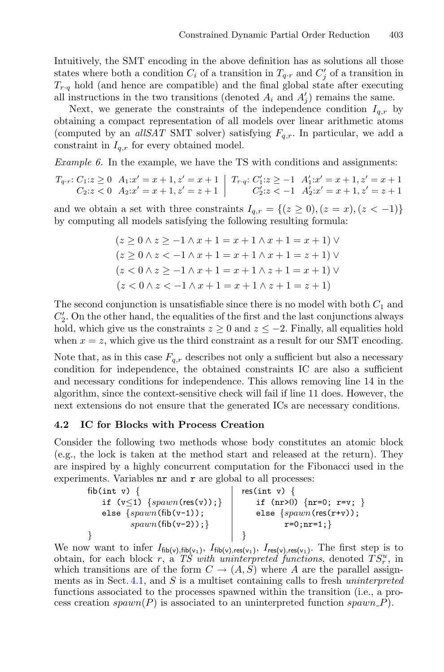Intuitively, the SMT encoding in the above definition has as solutions all those states where both a condition  $C_i$  of a transition in  $T_{q,r}$  and  $C'_j$  of a transition in  $T_{r,q}$  hold (and hence are compatible) and the final global state after executing all instructions in the two transitions (denoted  $A_i$  and  $A'_j$ ) remains the same.

Next, we generate the constraints of the independence condition  $I_{q,r}$  by obtaining a compact representation of all models over linear arithmetic atoms (computed by an *allSAT* SMT solver) satisfying  $F_{q,r}$ . In particular, we add a constraint in  $I_{q,r}$  for every obtained model.

*Example 6.* In the example, we have the TS with conditions and assignments:

$$
T_{q \cdot r}: C_1: z \ge 0 \quad A_1: x' = x + 1, z' = x + 1 \quad \Big| \quad T_{r \cdot q}: C'_1: z \ge -1 \quad A'_1: x' = x + 1, z' = x + 1
$$
  

$$
C_2: z < 0 \quad A_2: x' = x + 1, z' = z + 1 \quad \Big| \quad C'_2: z < -1 \quad A'_2: x' = x + 1, z' = z + 1
$$

and we obtain a set with three constraints  $I_{q,r} = \{(z \geq 0), (z = x), (z < -1)\}\$ by computing all models satisfying the following resulting formula:

$$
(z \ge 0 \land z \ge -1 \land x + 1 = x + 1 \land x + 1 = x + 1) \lor
$$
  
\n
$$
(z \ge 0 \land z < -1 \land x + 1 = x + 1 \land x + 1 = z + 1) \lor
$$
  
\n
$$
(z < 0 \land z \ge -1 \land x + 1 = x + 1 \land z + 1 = x + 1) \lor
$$
  
\n
$$
(z < 0 \land z < -1 \land x + 1 = x + 1 \land z + 1 = z + 1)
$$

The second conjunction is unsatisfiable since there is no model with both  $C_1$  and  $C_2'$ . On the other hand, the equalities of the first and the last conjunctions always hold, which give us the constraints  $z \geq 0$  and  $z \leq -2$ . Finally, all equalities hold when  $x = z$ , which give us the third constraint as a result for our SMT encoding.

Note that, as in this case  $F_{q,r}$  describes not only a sufficient but also a necessary condition for independence, the obtained constraints IC are also a sufficient and necessary conditions for independence. This allows removing line 14 in the algorithm, since the context-sensitive check will fail if line 11 does. However, the next extensions do not ensure that the generated ICs are necessary conditions.

#### <span id="page-11-0"></span>**4.2 IC for Blocks with Process Creation**

Consider the following two methods whose body constitutes an atomic block (e.g., the lock is taken at the method start and released at the return). They are inspired by a highly concurrent computation for the Fibonacci used in the experiments. Variables  $\pi r$  and  $r$  are global to all processes:

| fib(int $v$ ) {               | res(int $v$ ) {               |
|-------------------------------|-------------------------------|
| if $(v<1)$ $\{spam(res(v))\}$ | if $(nr>0)$ $\{nr=0; r=v; \}$ |
| else $\{spam(fib(v-1))\}$ ;   | else $\{spam(res(r+v)\};$     |
| $span(n(\text{fib}(v-2))$ ;   | $r=0; nr=1;$                  |
|                               |                               |

We now want to infer  $I_{\text{fib}(v),\text{fib}(v_1)}$ ,  $I_{\text{fib}(v),\text{res}(v_1)}$ ,  $I_{\text{res}(v),\text{res}(v_1)}$ . The first step is to obtain, for each block  $r$ , a *TS* with uninterpreted functions, denoted  $TS_r^u$ , in which transitions are of the form  $C \to (A, S)$  where A are the parallel assignments as in Sect. [4.1,](#page-10-0) and S is a multiset containing calls to fresh *uninterpreted* functions associated to the processes spawned within the transition (i.e., a process creation  $span(P)$  is associated to an uninterpreted function  $span(P)$ .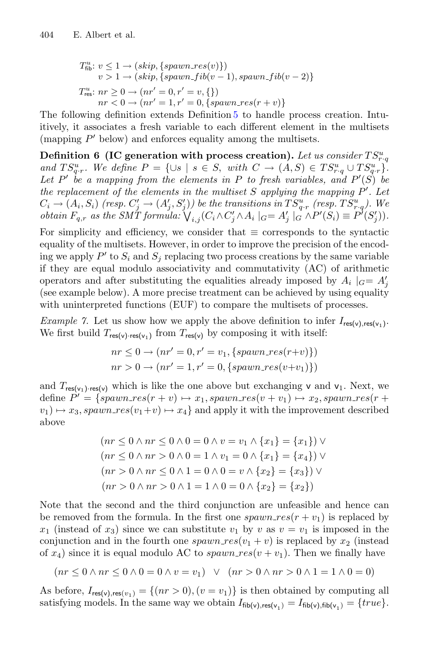<span id="page-12-0"></span>
$$
T_{\text{fib}}^u: v \le 1 \to (skip, \{spam\_res(v)\})
$$
  
\n
$$
v > 1 \to (skip, \{spam\_fib(v-1), spawn\_fib(v-2)\}
$$
  
\n
$$
T_{\text{res}}^u: nr \ge 0 \to (nr' = 0, r' = v, \{\})
$$
  
\n
$$
nr < 0 \to (nr' = 1, r' = 0, \{spam\_res(r + v)\}
$$

The following definition extends Definition [5](#page-10-1) to handle process creation. Intuitively, it associates a fresh variable to each different element in the multisets (mapping  $P'$  below) and enforces equality among the multisets.

**Definition 6 (IC generation with process creation).** Let us consider  $TS_{r,q}^u$ **behind b** (**i**) **generation** with process creation). Let us consult  $1 S_{r,q}^{u}$ <br>and  $TS_{q,r}^{u}$ . We define  $P = \{ \cup s \mid s \in S, \text{ with } C \rightarrow (A, S) \in TS_{r,q}^{u} \cup TS_{q,r}^{u} \}.$ Let  $P'$  be a mapping from the elements in  $P$  to fresh variables, and  $P'(S)$  be *the replacement of the elements in the multiset* S *applying the mapping* P *. Let*  $C_i \rightarrow (A_i, S_i)$   $(resp, C'_j \rightarrow (A'_j, S'_j))$  be the transitions in  $TS^u_{q,r}$   $(resp, TS^u_{r,q})$ . We *obtain*  $F_{q,r}$  *as the SMT formula:*  $\bigvee_{i,j} (C_i \wedge C'_j \wedge A_i |_{G} = A'_j |_{G} \wedge P'(S_i) \equiv P'(S'_j)).$ 

For simplicity and efficiency, we consider that  $\equiv$  corresponds to the syntactic equality of the multisets. However, in order to improve the precision of the encoding we apply P' to  $S_i$  and  $S_j$  replacing two process creations by the same variable if they are equal modulo associativity and commutativity (AC) of arithmetic operators and after substituting the equalities already imposed by  $A_i \mid_G = A'_j$ (see example below). A more precise treatment can be achieved by using equality with uninterpreted functions (EUF) to compare the multisets of processes.

*Example 7.* Let us show how we apply the above definition to infer  $I_{res(v),res(v_1)}$ . We first build  $T_{\mathsf{res}(v) \cdot \mathsf{res}(v_1)}$  from  $T_{\mathsf{res}(v)}$  by composing it with itself:

$$
nr \le 0 \rightarrow (nr' = 0, r' = v_1, \{spam\_res(r+v)\})
$$
  

$$
nr > 0 \rightarrow (nr' = 1, r' = 0, \{spam\_res(v+v_1)\})
$$

and  $T_{res(v_1)\text{-}res(v)}$  which is like the one above but exchanging v and  $v_1$ . Next, we define  $P' = \{spam\_res(r + v) \mapsto x_1, spawn\_res(v + v_1) \mapsto x_2, spawn\_res(r + v_1) \mapsto x_3, spawn\_res(r + v_1) \mapsto x_4, spawn\_res(r + v_1) \mapsto x_5, spawn\_res(r + v_1) \mapsto x_6, spawn\_res(r + v_1) \mapsto x_7, spawn\_res(r + v_1) \mapsto x_8, spawn\_res(r + v_1) \mapsto x_9, spawn\_res(r + v_1) \mapsto x_9, spawn\_res(r + v_1) \mapsto x_9, spawn\_res(r + v_1) \mapsto x_9, spawn\_res(r + v_1) \mapsto x_9, spawn\_$  $v_1 \rightarrow x_3$ , spawn\_res( $v_1 + v \rightarrow x_4$ } and apply it with the improvement described above

$$
(nr \le 0 \land nr \le 0 \land 0 = 0 \land v = v_1 \land \{x_1\} = \{x_1\}) \lor
$$
  
\n
$$
(nr \le 0 \land nr > 0 \land 0 = 1 \land v_1 = 0 \land \{x_1\} = \{x_4\}) \lor
$$
  
\n
$$
(nr > 0 \land nr \le 0 \land 1 = 0 \land 0 = v \land \{x_2\} = \{x_3\}) \lor
$$
  
\n
$$
(nr > 0 \land nr > 0 \land 1 = 1 \land 0 = 0 \land \{x_2\} = \{x_2\})
$$

Note that the second and the third conjunction are unfeasible and hence can be removed from the formula. In the first one  $spawn\_res(r + v_1)$  is replaced by  $x_1$  (instead of  $x_3$ ) since we can substitute  $v_1$  by v as  $v = v_1$  is imposed in the conjunction and in the fourth one  $spawn\_res(v_1 + v)$  is replaced by  $x_2$  (instead of  $x_4$ ) since it is equal modulo AC to  $spawn\_res(v + v_1)$ . Then we finally have

$$
(nr \le 0 \land nr \le 0 \land 0 = 0 \land v = v_1) \lor (nr > 0 \land nr > 0 \land 1 = 1 \land 0 = 0)
$$

As before,  $I_{\mathsf{res}(v),\mathsf{res}(v_1)} = \{(nr > 0), (v = v_1)\}\$ is then obtained by computing all satisfying models. In the same way we obtain  $I_{\text{fib}(v),\text{res}(v_1)} = I_{\text{fib}(v),\text{fib}(v_1)} = \{true\}.$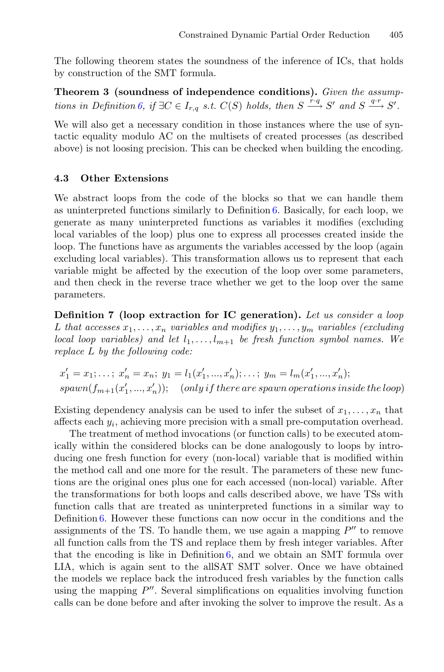The following theorem states the soundness of the inference of ICs, that holds by construction of the SMT formula.

**Theorem 3 (soundness of independence conditions).** *Given the assumptions in Definition [6,](#page-12-0) if*  $\exists C \in I_{r,q}$  *s.t.*  $C(S)$  *holds, then*  $S \xrightarrow{r \cdot q} S'$  *and*  $S \xrightarrow{q \cdot r} S'$ .

We will also get a necessary condition in those instances where the use of syntactic equality modulo AC on the multisets of created processes (as described above) is not loosing precision. This can be checked when building the encoding.

#### <span id="page-13-0"></span>**4.3 Other Extensions**

We abstract loops from the code of the blocks so that we can handle them as uninterpreted functions similarly to Definition [6.](#page-12-0) Basically, for each loop, we generate as many uninterpreted functions as variables it modifies (excluding local variables of the loop) plus one to express all processes created inside the loop. The functions have as arguments the variables accessed by the loop (again excluding local variables). This transformation allows us to represent that each variable might be affected by the execution of the loop over some parameters, and then check in the reverse trace whether we get to the loop over the same parameters.

**Definition 7 (loop extraction for IC generation).** *Let us consider a loop* L that accesses  $x_1, \ldots, x_n$  *variables and modifies*  $y_1, \ldots, y_m$  *variables (excluding local loop variables) and let*  $l_1, \ldots, l_{m+1}$  *be fresh function symbol names. We replace* L *by the following code:*

$$
x'_1 = x_1; \dots; x'_n = x_n; y_1 = l_1(x'_1, \dots, x'_n); \dots; y_m = l_m(x'_1, \dots, x'_n);
$$
  
span $(f_{m+1}(x'_1, \dots, x'_n));$  (only if there are spawn operations inside the loop)

Existing dependency analysis can be used to infer the subset of  $x_1, \ldots, x_n$  that affects each  $y_i$ , achieving more precision with a small pre-computation overhead.

The treatment of method invocations (or function calls) to be executed atomically within the considered blocks can be done analogously to loops by introducing one fresh function for every (non-local) variable that is modified within the method call and one more for the result. The parameters of these new functions are the original ones plus one for each accessed (non-local) variable. After the transformations for both loops and calls described above, we have TSs with function calls that are treated as uninterpreted functions in a similar way to Definition [6.](#page-12-0) However these functions can now occur in the conditions and the assignments of the TS. To handle them, we use again a mapping  $P''$  to remove all function calls from the TS and replace them by fresh integer variables. After that the encoding is like in Definition  $6$ , and we obtain an SMT formula over LIA, which is again sent to the allSAT SMT solver. Once we have obtained the models we replace back the introduced fresh variables by the function calls using the mapping  $P''$ . Several simplifications on equalities involving function calls can be done before and after invoking the solver to improve the result. As a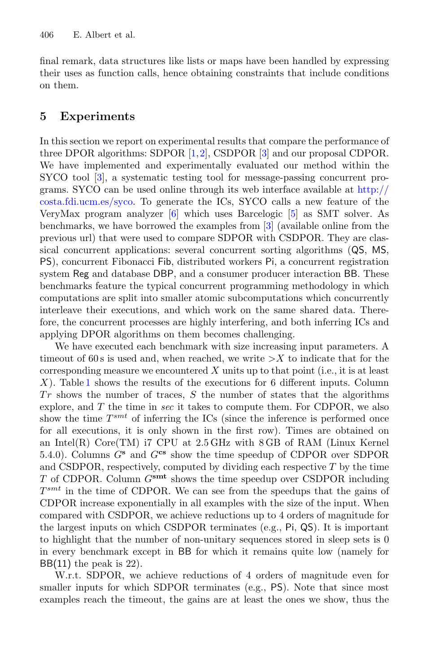final remark, data structures like lists or maps have been handled by expressing their uses as function calls, hence obtaining constraints that include conditions on them.

# **5 Experiments**

In this section we report on experimental results that compare the performance of three DPOR algorithms: SDPOR [\[1](#page-17-3),[2\]](#page-17-4), CSDPOR [\[3](#page-17-7)] and our proposal CDPOR. We have implemented and experimentally evaluated our method within the SYCO tool [\[3\]](#page-17-7), a systematic testing tool for message-passing concurrent programs. SYCO can be used online through its web interface available at [http://](http://costa.fdi.ucm.es/syco) [costa.fdi.ucm.es/syco.](http://costa.fdi.ucm.es/syco) To generate the ICs, SYCO calls a new feature of the VeryMax program analyzer [\[6\]](#page-17-9) which uses Barcelogic [\[5\]](#page-17-10) as SMT solver. As benchmarks, we have borrowed the examples from [\[3](#page-17-7)] (available online from the previous url) that were used to compare SDPOR with CSDPOR. They are classical concurrent applications: several concurrent sorting algorithms (QS, MS, PS), concurrent Fibonacci Fib, distributed workers Pi, a concurrent registration system Reg and database DBP, and a consumer producer interaction BB. These benchmarks feature the typical concurrent programming methodology in which computations are split into smaller atomic subcomputations which concurrently interleave their executions, and which work on the same shared data. Therefore, the concurrent processes are highly interfering, and both inferring ICs and applying DPOR algorithms on them becomes challenging.

We have executed each benchmark with size increasing input parameters. A timeout of 60 s is used and, when reached, we write  $\geq X$  to indicate that for the corresponding measure we encountered  $X$  units up to that point (i.e., it is at least X). Table [1](#page-15-0) shows the results of the executions for 6 different inputs. Column  $Tr$  shows the number of traces,  $S$  the number of states that the algorithms explore, and T the time in *sec* it takes to compute them. For CDPOR, we also show the time  $T^{smt}$  of inferring the ICs (since the inference is performed once for all executions, it is only shown in the first row). Times are obtained on an Intel(R) Core(TM) i7 CPU at  $2.5$  GHz with  $8$  GB of RAM (Linux Kernel 5.4.0). Columns G**<sup>s</sup>** and G**cs** show the time speedup of CDPOR over SDPOR and CSDPOR, respectively, computed by dividing each respective  $T$  by the time T of CDPOR. Column G**smt** shows the time speedup over CSDPOR including  $T^{smt}$  in the time of CDPOR. We can see from the speedups that the gains of CDPOR increase exponentially in all examples with the size of the input. When compared with CSDPOR, we achieve reductions up to 4 orders of magnitude for the largest inputs on which CSDPOR terminates (e.g., Pi, QS). It is important to highlight that the number of non-unitary sequences stored in sleep sets is 0 in every benchmark except in BB for which it remains quite low (namely for  $BB(11)$  the peak is 22).

W.r.t. SDPOR, we achieve reductions of 4 orders of magnitude even for smaller inputs for which SDPOR terminates (e.g., PS). Note that since most examples reach the timeout, the gains are at least the ones we show, thus the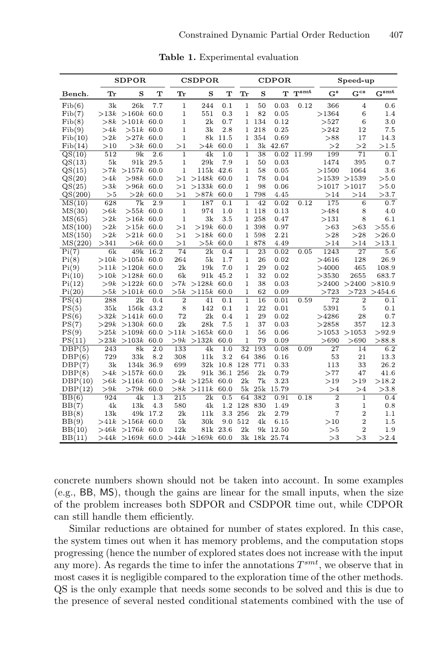<span id="page-15-0"></span>

|         | SDPOR       |                     |                  | $\texttt{CSDPOP}$ |              |          | <b>CDPOR</b>   |     |              |                  | Speed-up                 |                              |                           |
|---------|-------------|---------------------|------------------|-------------------|--------------|----------|----------------|-----|--------------|------------------|--------------------------|------------------------------|---------------------------|
| Bench.  | Tr          | s                   | T                | Tr                | s            | T        | Tr             | S   | $\mathbf T$  | $T^{\text{smt}}$ | $G^{\rm s}$              | $\mathbf{G}^{\textup{cs}}$   | $\mathbf{G}^\mathrm{smt}$ |
| Fib(6)  | 3k          | 26k                 | 7.7              | $\mathbf{1}$      | 244          | 0.1      | $\mathbf{1}$   | 50  | 0.03         | 0.12             | 366                      | $\overline{4}$               | 0.6                       |
| Fib(7)  | >13k        | >160k               | 60.0             | 1                 | 551          | 0.3      | 1              | 82  | 0.05         |                  | >1364                    | 6                            | 1.4                       |
| Fib(8)  | $>$ $8k$    | $>$ 101 $k$         | 60.0             | 1                 | 2k           | 0.7      | 1              | 134 | 0.12         |                  | >527                     | 6                            | 3.0                       |
| Fib(9)  | >4k         | >51k                | 60.0             | 1                 | 3k           | 2.8      | 1              | 218 | 0.25         |                  | >242                     | 12                           | 7.5                       |
| Fib(10) | >2k         | >27k                | 60.0             | $\mathbf 1$       |              | 8k 11.5  | 1              | 354 | 0.69         |                  | > 88                     | 17                           | 14.3                      |
| Fib(14) | >10         | >3k                 | 60.0             | >1                | >4k          | 60.0     | 1              |     | 3k 42.67     |                  | >2                       | >2                           | >1.5                      |
| QS(10)  | 512         | 9k                  | 2.6              | 1                 | 4k           | 1.0      | 1              | 38  | 0.02         | 11.99            | 199                      | $\overline{71}$              | 0.1                       |
| QS(13)  | 5k          |                     | 91k 29.5         | 1                 | 29k          | 7.9      | 1              | 50  | 0.03         |                  | 1474                     | 395                          | 0.7                       |
| QS(15)  | >7k         | >157k               | 60.0             | $\mathbf{1}$      | 115k 42.6    |          | $\mathbf{1}$   | 58  | 0.05         |                  | >1500                    | 1064                         | 3.6                       |
| QS(20)  | $>$ 4 $k$   | $>98k$ 60.0         |                  | >1                | $>148k$ 60.0 |          | 1              | 78  | 0.04         |                  | >1539                    | >1539                        | > 5.0                     |
| QS(25)  | >3k         | > 96k               | 60.0             | >1                | >133k        | 60.0     | 1              | 98  | 0.06         |                  | >1017                    | >1017                        | > 5.0                     |
| QS(200) | >5          | >2k                 | 60.0             | >1                | >87k         | 60.0     | 1              | 798 | 4.45         |                  | >14                      | >14                          | >3.7                      |
| MS(10)  | 628         | $\overline{7}$ k    | 2.9              | 1                 | 187          | 0.1      | 1              | 42  | 0.02         | 0.12             | 175                      | 6                            | 0.7                       |
| MS(30)  | > 6k        | >55k                | 60.0             | 1                 | 974          | 1.0      | 1              | 118 | 0.13         |                  | >484                     | 8                            | 4.0                       |
| MS(65)  | >2k         | >16k                | 60.0             | $\mathbf 1$       | 3k           | 3.5      | 1              | 258 | 0.47         |                  | >131                     | 8                            | 6.1                       |
| MS(100) | >2k         | $>15k$ 60.0         |                  | >1                | >19k         | 60.0     | 1              | 398 | 0.97         |                  | > 63                     | > 63                         | >55.6                     |
| MS(150) | >2k         | >21k                | 60.0             | >1                | >18k         | 60.0     | 1              | 598 | 2.21         |                  | >28                      | >28                          | >26.0                     |
| MS(220) | >341        |                     | $> 6k$ 60.0      | >1                | > 5k         | 60.0     | 1              | 878 | 4.49         |                  | >14                      | >14                          | >13.1                     |
| Pi(7)   | 6k          | 49k                 | 16.2             | 74                | 2k           | 0.4      | 1              | 23  | 0.02         | 0.05             | 1243                     | 27                           | 5.6                       |
| Pi(8)   |             | $>10k$ $>105k$      | 60.0             | 264               | 5k           | 1.7      | $\mathbf{1}$   | 26  | 0.02         |                  | >4616                    | 128                          | 26.9                      |
| Pi(9)   | >11k        | $>120k$ 60.0        |                  | $2\mathrm{k}$     | 19k          | 7.0      | 1              | 29  | 0.02         |                  | >4000                    | 465                          | 108.9                     |
| Pi(10)  |             | $>10k$ $>128k$      | 60.0             | 6k                | 91k          | 45.2     | 1              | 32  | 0.02         |                  | >3530                    | 2655                         | 683.7                     |
| Pi(12)  | >9k         | >122k               | 60.0             | >7k               | >128k        | 60.0     | 1              | 38  | 0.03         |                  | >2400                    | >2400                        | >810.9                    |
| Pi(20)  | $>$ 5 $k$   | >101k               | 60.0             | $>$ 5 $k$         | $>$ 115 $k$  | 60.0     | 1              | 62  | 0.09         |                  | >723                     | $>\!\!723$                   | >454.6                    |
| PS(4)   | 288         | $2\mathrm{k}$       | 0.4              | $\overline{2}$    | 41           | 0.1      | 1              | 16  | 0.01         | 0.59             | $\overline{72}$          | $\overline{2}$               | 0.1                       |
| PS(5)   | 35k         | 156k 43.2           |                  | 8                 | 142          | 0.1      | $\mathbf{1}$   | 22  | 0.01         |                  | 5391                     | $\bf 5$                      | 0.1                       |
| PS(6)   | >32k        | $>141k$ 60.0        |                  | 72                | 2k           | 0.4      | 1              | 29  | 0.02         |                  | >4286                    | 28                           | 0.7                       |
| PS(7)   | >29k        | >130k               | 60.0             | 2k                | 28k          | 7.5      | 1              | 37  | 0.03         |                  | >2858                    | 357                          | 12.3                      |
| PS(9)   |             | >25k > 109k         | 60.0             | >11k              | >165k        | 60.0     | 1              | 56  | 0.06         |                  | >1053                    | >1053                        | >92.9                     |
| PS(11)  | >23k        | >103k               | 60.0             | > 9k              | >132k        | 60.0     | 1              | 79  | 0.09         |                  | > 690                    | > 690                        | >88.8                     |
| DBP(5)  | 243         | 8k                  | $\overline{2.0}$ | 133               | 4k           | 1.0      | 32             | 193 | 0.08         | 0.09             | 27                       | 14                           | 6.2                       |
| DBP(6)  | 729         | 33k                 | 8.2              | 308               | 11k          | 3.2      | 64             | 386 | 0.16         |                  | 53                       | 21                           | 13.3                      |
| DBP(7)  | 3k          | 134k 36.9           |                  | 699               |              | 32k 10.8 | 128            | 771 | 0.33         |                  | 113                      | 33                           | 26.2                      |
| DBP(8)  | >4k         | >157k               | 60.0             | 2k                |              | 91k 36.1 | 256            | 2k  | 0.79         |                  | >77                      | 47                           | 41.6                      |
| DBP(10) | > 6k        | >116k               | 60.0             | >4k               | >125k        | 60.0     | 2k             | 7k  | 3.23         |                  | >19                      | >19                          | >18.2                     |
| DBP(12) | > 9k<br>924 | $>79k$ 60.0         | 1.3              | $>$ 8 $k$         | >111k        | 60.0     | 5k             | 25k | 15.79        |                  | $>\!4$<br>$\overline{2}$ | $>\!4$                       | $>\!3.8$                  |
| BB(6)   |             | 4k                  |                  | 215               | 2k           | 0.5      | 64             | 382 | 0.91         | 0.18             |                          | $\mathbf{1}$                 | 0.4                       |
| BB(7)   | 4k          | 13k                 | 4.3              | 580               | 4k           | 1.2      | 128            | 830 | 1.49         |                  | 3<br>$\overline{7}$      | $\mathbf{1}$                 | 0.8                       |
| BB(8)   | 13k         | 49k                 | 17.2             | 2k                | 11k          | 3.3      | 256<br>9.0 512 | 2k  | 2.79         |                  |                          | $\overline{2}$<br>$\sqrt{2}$ | 1.1                       |
| BB(9)   | >41k        | >156k               | 60.0             | 5k<br>12k         | 30k          | 23.6     | 2k             | 4k  | 6.15         |                  | >10                      | $\sqrt{2}$                   | 1.5<br>1.9                |
| BB(10)  | $>$ 46 $k$  | >176k               | 60.0             |                   | 81k          |          |                |     | 9k 12.50     |                  | $>\!5$                   | >3                           |                           |
| BB(11)  |             | $>44k$ $>169k$ 60.0 |                  | >44k              | $>$ 169 $k$  | 60.0     |                |     | 3k 18k 25.74 |                  | >3                       |                              | >2.4                      |

**Table 1.** Experimental evaluation

concrete numbers shown should not be taken into account. In some examples (e.g., BB, MS), though the gains are linear for the small inputs, when the size of the problem increases both SDPOR and CSDPOR time out, while CDPOR can still handle them efficiently.

Similar reductions are obtained for number of states explored. In this case, the system times out when it has memory problems, and the computation stops progressing (hence the number of explored states does not increase with the input any more). As regards the time to infer the annotations  $T^{smt}$ , we observe that in most cases it is negligible compared to the exploration time of the other methods. QS is the only example that needs some seconds to be solved and this is due to the presence of several nested conditional statements combined with the use of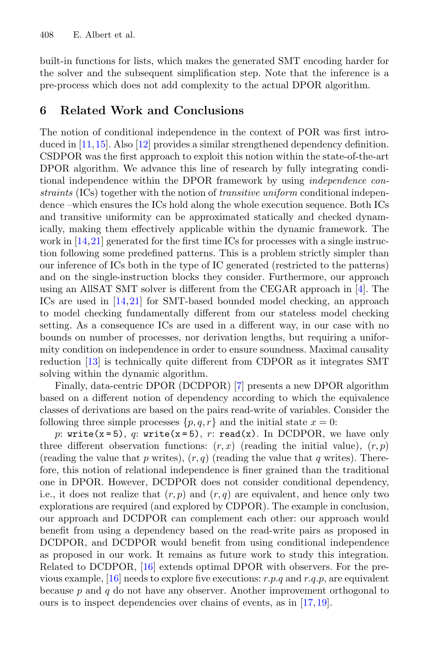built-in functions for lists, which makes the generated SMT encoding harder for the solver and the subsequent simplification step. Note that the inference is a pre-process which does not add complexity to the actual DPOR algorithm.

### **6 Related Work and Conclusions**

The notion of conditional independence in the context of POR was first introduced in [\[11,](#page-17-5)[15](#page-17-6)]. Also [\[12\]](#page-17-11) provides a similar strengthened dependency definition. CSDPOR was the first approach to exploit this notion within the state-of-the-art DPOR algorithm. We advance this line of research by fully integrating conditional independence within the DPOR framework by using *independence constraints* (ICs) together with the notion of *transitive uniform* conditional independence –which ensures the ICs hold along the whole execution sequence. Both ICs and transitive uniformity can be approximated statically and checked dynamically, making them effectively applicable within the dynamic framework. The work in [\[14](#page-17-12)[,21](#page-18-1)] generated for the first time ICs for processes with a single instruction following some predefined patterns. This is a problem strictly simpler than our inference of ICs both in the type of IC generated (restricted to the patterns) and on the single-instruction blocks they consider. Furthermore, our approach using an AllSAT SMT solver is different from the CEGAR approach in [\[4](#page-17-13)]. The ICs are used in [\[14,](#page-17-12)[21](#page-18-1)] for SMT-based bounded model checking, an approach to model checking fundamentally different from our stateless model checking setting. As a consequence ICs are used in a different way, in our case with no bounds on number of processes, nor derivation lengths, but requiring a uniformity condition on independence in order to ensure soundness. Maximal causality reduction [\[13\]](#page-17-14) is technically quite different from CDPOR as it integrates SMT solving within the dynamic algorithm.

Finally, data-centric DPOR (DCDPOR) [\[7](#page-17-15)] presents a new DPOR algorithm based on a different notion of dependency according to which the equivalence classes of derivations are based on the pairs read-write of variables. Consider the following three simple processes  $\{p, q, r\}$  and the initial state  $x = 0$ :

p: write(x=5), q: write(x=5), r: read(x). In DCDPOR, we have only three different observation functions:  $(r, x)$  (reading the initial value),  $(r, p)$ (reading the value that p writes),  $(r, q)$  (reading the value that q writes). Therefore, this notion of relational independence is finer grained than the traditional one in DPOR. However, DCDPOR does not consider conditional dependency, i.e., it does not realize that  $(r, p)$  and  $(r, q)$  are equivalent, and hence only two explorations are required (and explored by CDPOR). The example in conclusion, our approach and DCDPOR can complement each other: our approach would benefit from using a dependency based on the read-write pairs as proposed in DCDPOR, and DCDPOR would benefit from using conditional independence as proposed in our work. It remains as future work to study this integration. Related to DCDPOR, [\[16\]](#page-17-16) extends optimal DPOR with observers. For the previous example,  $[16]$  needs to explore five executions: r.p.q and r.q.p, are equivalent because  $p$  and  $q$  do not have any observer. Another improvement orthogonal to ours is to inspect dependencies over chains of events, as in [\[17,](#page-17-17)[19\]](#page-18-2).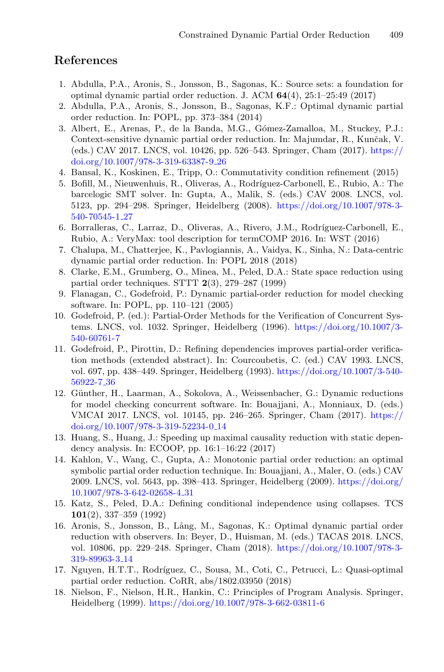# **References**

- <span id="page-17-3"></span>1. Abdulla, P.A., Aronis, S., Jonsson, B., Sagonas, K.: Source sets: a foundation for optimal dynamic partial order reduction. J. ACM **64**(4), 25:1–25:49 (2017)
- <span id="page-17-4"></span>2. Abdulla, P.A., Aronis, S., Jonsson, B., Sagonas, K.F.: Optimal dynamic partial order reduction. In: POPL, pp. 373–384 (2014)
- <span id="page-17-7"></span>3. Albert, E., Arenas, P., de la Banda, M.G., G´omez-Zamalloa, M., Stuckey, P.J.: Context-sensitive dynamic partial order reduction. In: Majumdar, R., Kunčak, V. (eds.) CAV 2017. LNCS, vol. 10426, pp. 526–543. Springer, Cham (2017). [https://](https://doi.org/10.1007/978-3-319-63387-9_26) [doi.org/10.1007/978-3-319-63387-9](https://doi.org/10.1007/978-3-319-63387-9_26) 26
- <span id="page-17-13"></span>4. Bansal, K., Koskinen, E., Tripp, O.: Commutativity condition refinement (2015)
- <span id="page-17-10"></span>5. Bofill, M., Nieuwenhuis, R., Oliveras, A., Rodríguez-Carbonell, E., Rubio, A.: The barcelogic SMT solver. In: Gupta, A., Malik, S. (eds.) CAV 2008. LNCS, vol. 5123, pp. 294–298. Springer, Heidelberg (2008). [https://doi.org/10.1007/978-3-](https://doi.org/10.1007/978-3-540-70545-1_27) [540-70545-1](https://doi.org/10.1007/978-3-540-70545-1_27) 27
- <span id="page-17-9"></span>6. Borralleras, C., Larraz, D., Oliveras, A., Rivero, J.M., Rodríguez-Carbonell, E., Rubio, A.: VeryMax: tool description for termCOMP 2016. In: WST (2016)
- <span id="page-17-15"></span>7. Chalupa, M., Chatterjee, K., Pavlogiannis, A., Vaidya, K., Sinha, N.: Data-centric dynamic partial order reduction. In: POPL 2018 (2018)
- <span id="page-17-0"></span>8. Clarke, E.M., Grumberg, O., Minea, M., Peled, D.A.: State space reduction using partial order techniques. STTT **2**(3), 279–287 (1999)
- <span id="page-17-2"></span>9. Flanagan, C., Godefroid, P.: Dynamic partial-order reduction for model checking software. In: POPL, pp. 110–121 (2005)
- <span id="page-17-1"></span>10. Godefroid, P. (ed.): Partial-Order Methods for the Verification of Concurrent Systems. LNCS, vol. 1032. Springer, Heidelberg (1996). [https://doi.org/10.1007/3-](https://doi.org/10.1007/3-540-60761-7) [540-60761-7](https://doi.org/10.1007/3-540-60761-7)
- <span id="page-17-5"></span>11. Godefroid, P., Pirottin, D.: Refining dependencies improves partial-order verification methods (extended abstract). In: Courcoubetis, C. (ed.) CAV 1993. LNCS, vol. 697, pp. 438–449. Springer, Heidelberg (1993). [https://doi.org/10.1007/3-540-](https://doi.org/10.1007/3-540-56922-7_36) [56922-7](https://doi.org/10.1007/3-540-56922-7_36) 36
- <span id="page-17-11"></span>12. Günther, H., Laarman, A., Sokolova, A., Weissenbacher, G.: Dynamic reductions for model checking concurrent software. In: Bouajjani, A., Monniaux, D. (eds.) VMCAI 2017. LNCS, vol. 10145, pp. 246–265. Springer, Cham (2017). [https://](https://doi.org/10.1007/978-3-319-52234-0_14) [doi.org/10.1007/978-3-319-52234-0](https://doi.org/10.1007/978-3-319-52234-0_14) 14
- <span id="page-17-14"></span>13. Huang, S., Huang, J.: Speeding up maximal causality reduction with static dependency analysis. In: ECOOP, pp. 16:1–16:22 (2017)
- <span id="page-17-12"></span>14. Kahlon, V., Wang, C., Gupta, A.: Monotonic partial order reduction: an optimal symbolic partial order reduction technique. In: Bouajjani, A., Maler, O. (eds.) CAV 2009. LNCS, vol. 5643, pp. 398–413. Springer, Heidelberg (2009). [https://doi.org/](https://doi.org/10.1007/978-3-642-02658-4_31) [10.1007/978-3-642-02658-4](https://doi.org/10.1007/978-3-642-02658-4_31) 31
- <span id="page-17-6"></span>15. Katz, S., Peled, D.A.: Defining conditional independence using collapses. TCS **101**(2), 337–359 (1992)
- <span id="page-17-16"></span>16. Aronis, S., Jonsson, B., Lång, M., Sagonas, K.: Optimal dynamic partial order reduction with observers. In: Beyer, D., Huisman, M. (eds.) TACAS 2018. LNCS, vol. 10806, pp. 229–248. Springer, Cham (2018). [https://doi.org/10.1007/978-3-](https://doi.org/10.1007/978-3-319-89963-3_14) [319-89963-3](https://doi.org/10.1007/978-3-319-89963-3_14) 14
- <span id="page-17-17"></span>17. Nguyen, H.T.T., Rodríguez, C., Sousa, M., Coti, C., Petrucci, L.: Quasi-optimal partial order reduction. CoRR, abs/1802.03950 (2018)
- <span id="page-17-8"></span>18. Nielson, F., Nielson, H.R., Hankin, C.: Principles of Program Analysis. Springer, Heidelberg (1999). <https://doi.org/10.1007/978-3-662-03811-6>